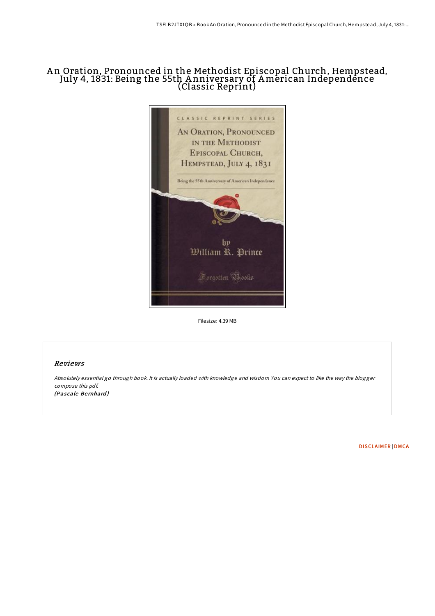## A n Oration, Pronounced in the Methodist Episcopal Church, Hempstead, July 4, 1831: Being the 55th A nniversary of American Independence (Classic Reprint)



Filesize: 4.39 MB

## Reviews

Absolutely essential go through book. It is actually loaded with knowledge and wisdom You can expect to like the way the blogger compose this pdf. (Pascale Bernhard)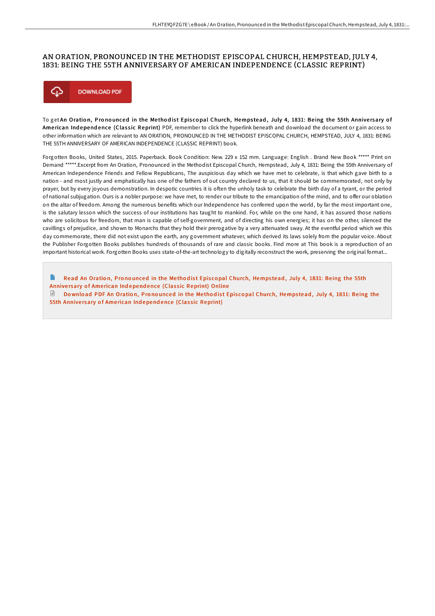## AN ORATION, PRONOUNCED IN THE METHODIST EPISCOPAL CHURCH, HEMPSTEAD, JULY 4, 1831: BEING THE 55TH ANNIVERSARY OF AMERICAN INDEPENDENCE (CLASSIC REPRINT)



To get An Oration, Pronounced in the Methodist Episcopal Church, Hempstead, July 4, 1831: Being the 55th Anniversary of American Independence (Classic Reprint) PDF, remember to click the hyperlink beneath and download the document or gain access to other information which are relevant to AN ORATION, PRONOUNCED IN THE METHODIST EPISCOPAL CHURCH, HEMPSTEAD, JULY 4, 1831: BEING THE 55TH ANNIVERSARY OF AMERICAN INDEPENDENCE (CLASSIC REPRINT) book.

Forgotten Books, United States, 2015. Paperback. Book Condition: New. 229 x 152 mm. Language: English . Brand New Book \*\*\*\*\* Print on Demand \*\*\*\*\*.Excerpt from An Oration, Pronounced in the Methodist Episcopal Church, Hempstead, July 4, 1831: Being the 55th Anniversary of American Independence Friends and Fellow Republicans, The auspicious day which we have met to celebrate, is that which gave birth to a nation - and most justly and emphatically has one of the fathers of out country declared to us, that it should be commemorated, not only by prayer, but by every joyous demonstration. In despotic countries it is often the unholy task to celebrate the birth day of a tyrant, or the period of national subjugation. Ours is a nobler purpose: we have met, to render our tribute to the emancipation of the mind, and to offer our oblation on the altar of freedom. Among the numerous benefits which our Independence has conferred upon the world, by far the most important one, is the salutary lesson which the success of our institutions has taught to mankind. For, while on the one hand, it has assured those nations who are solicitous for freedom, that man is capable of self-government, and of directing his own energies; it has on the other, silenced the cavillings of prejudice, and shown to Monarchs that they hold their prerogative by a very attenuated sway. At the eventful period which we this day commemorate, there did not exist upon the earth, any government whatever, which derived its laws solely from the popular voice. About the Publisher Forgotten Books publishes hundreds of thousands of rare and classic books. Find more at This book is a reproduction of an important historical work. Forgotten Books uses state-of-the-art technology to digitally reconstruct the work, preserving the original format...

Read An Oration, Pronounced in the Methodist Episcopal Church, Hempstead, July 4, 1831: Being the 55th Anniversary of American Independence (Classic [Reprint\)](http://almighty24.tech/an-oration-pronounced-in-the-methodist-episcopal.html) Online Download PDF An Oration, Pronounced in the Methodist Episcopal Church, Hempstead, July 4, 1831: Being the 55th Anniversary of American Independence (Classic [Reprint\)](http://almighty24.tech/an-oration-pronounced-in-the-methodist-episcopal.html)